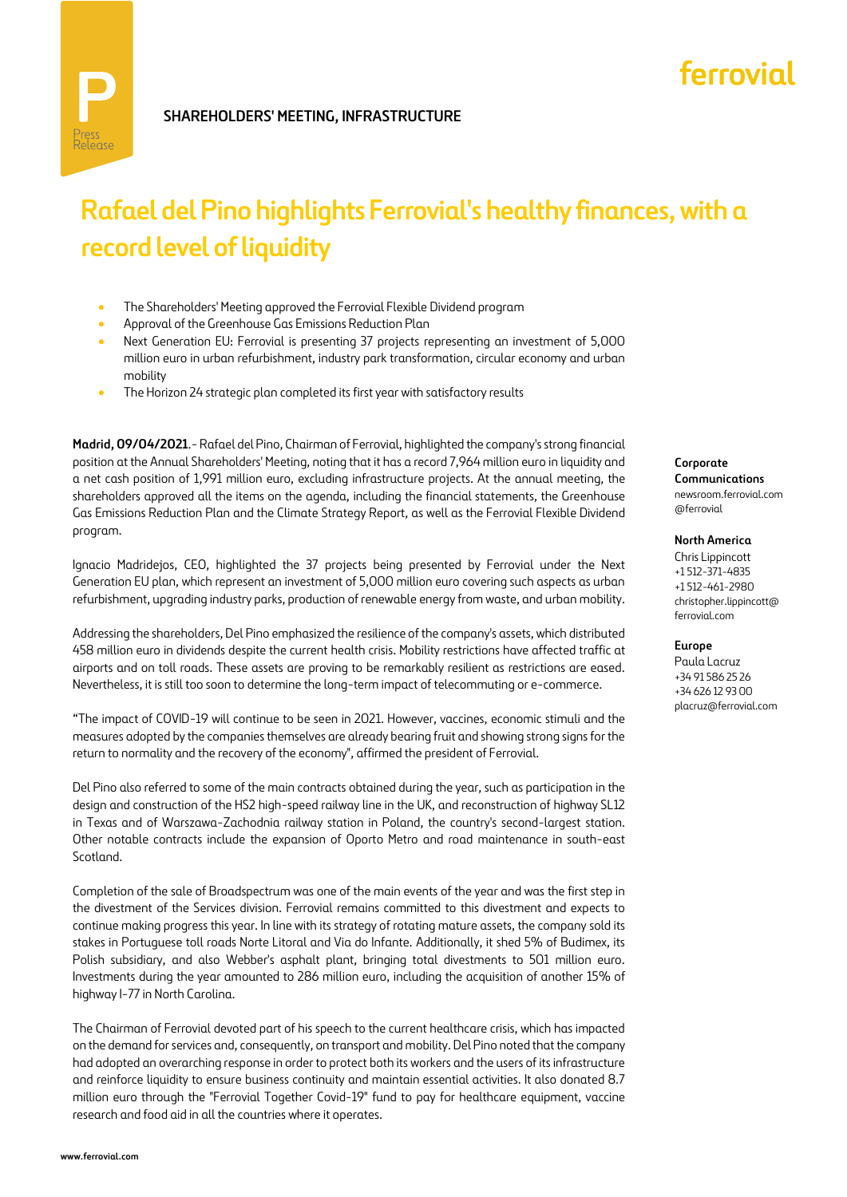# ferrovial

## **Rafael del Pino highlights Ferrovial's healthy finances, with a record level of liquidity**

- The Shareholders' Meeting approved the Ferrovial Flexible Dividend program
- Approval of the Greenhouse Gas Emissions Reduction Plan
- Next Generation EU: Ferrovial is presenting 37 projects representing an investment of 5,000 million euro in urban refurbishment, industry park transformation, circular economy and urban mobility
- The Horizon 24 strategic plan completed its first year with satisfactory results

**Madrid, 09/04/2021**.- Rafael del Pino, Chairman of Ferrovial, highlighted the company's strong financial position at the Annual Shareholders' Meeting, noting that it has a record 7,964 million euro in liquidity and a net cash position of 1,991 million euro, excluding infrastructure projects. At the annual meeting, the shareholders approved all the items on the agenda, including the financial statements, the Greenhouse Gas Emissions Reduction Plan and the Climate Strategy Report, as well as the Ferrovial Flexible Dividend program.

Ignacio Madridejos, CEO, highlighted the 37 projects being presented by Ferrovial under the Next Generation EU plan, which represent an investment of 5,000 million euro covering such aspects as urban refurbishment, upgrading industry parks, production of renewable energy from waste, and urban mobility.

Addressing the shareholders, Del Pino emphasized the resilience of the company's assets, which distributed 458 million euro in dividends despite the current health crisis. Mobility restrictions have affected traffic at airports and on toll roads. These assets are proving to be remarkably resilient as restrictions are eased. Nevertheless, it is still too soon to determine the long-term impact of telecommuting or e-commerce.

"The impact of COVID-19 will continue to be seen in 2021. However, vaccines, economic stimuli and the measures adopted by the companies themselves are already bearing fruit and showing strong signs for the return to normality and the recovery of the economy", affirmed the president of Ferrovial.

Del Pino also referred to some of the main contracts obtained during the year, such as participation in the design and construction of the HS2 high-speed railway line in the UK, and reconstruction of highway SL12 in Texas and of Warszawa-Zachodnia railway station in Poland, the country's second-largest station. Other notable contracts include the expansion of Oporto Metro and road maintenance in south-east Scotland.

Completion of the sale of Broadspectrum was one of the main events of the year and was the first step in the divestment of the Services division. Ferrovial remains committed to this divestment and expects to continue making progress this year. In line with its strategy of rotating mature assets, the company sold its stakes in Portuguese toll roads Norte Litoral and Via do Infante. Additionally, it shed 5% of Budimex, its Polish subsidiary, and also Webber's asphalt plant, bringing total divestments to 501 million euro. Investments during the year amounted to 286 million euro, including the acquisition of another 15% of highway I-77 in North Carolina.

The Chairman of Ferrovial devoted part of his speech to the current healthcare crisis, which has impacted on the demand for services and, consequently, on transport and mobility. Del Pino noted that the company had adopted an overarching response in order to protect both its workers and the users of its infrastructure and reinforce liquidity to ensure business continuity and maintain essential activities. It also donated 8.7 million euro through the "Ferrovial Together Covid-19" fund to pay for healthcare equipment, vaccine research and food aid in all the countries where it operates.

**Corporate Communications** newsroom.ferrovial.com @ferrovial

**North America**

Chris Lippincott +1 512-371-4835 +1 512-461-2980 christopher.lippincott@ ferrovial.com

**Europe**

Paula Lacruz +34 91 586 25 26 +34 626 12 93 00 placruz@ferrovial.com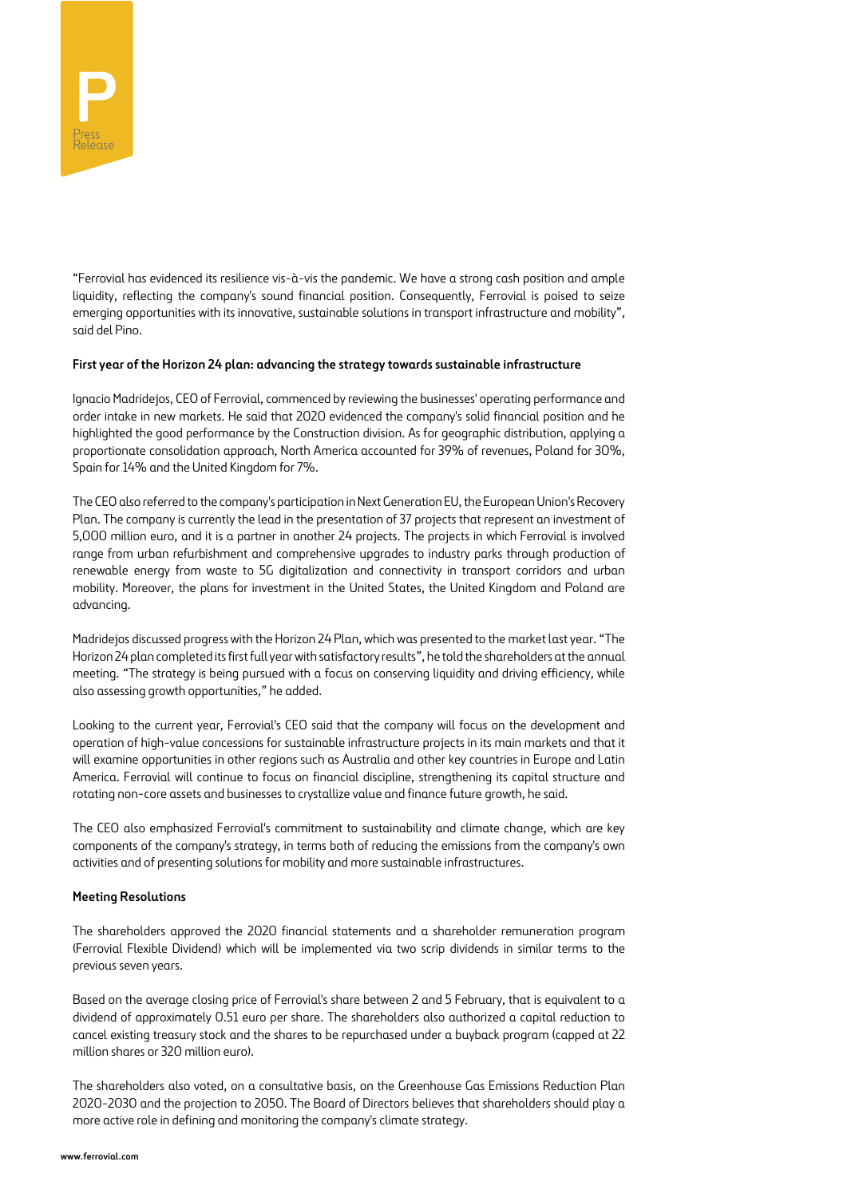

"Ferrovial has evidenced its resilience vis-à-vis the pandemic. We have a strong cash position and ample liquidity, reflecting the company's sound financial position. Consequently, Ferrovial is poised to seize emerging opportunities with its innovative, sustainable solutions in transport infrastructure and mobility", said del Pino.

#### **First year of the Horizon 24 plan: advancing the strategy towards sustainable infrastructure**

Ignacio Madridejos, CEO of Ferrovial, commenced by reviewing the businesses' operating performance and order intake in new markets. He said that 2020 evidenced the company's solid financial position and he highlighted the good performance by the Construction division. As for geographic distribution, applying a proportionate consolidation approach, North America accounted for 39% of revenues, Poland for 30%, Spain for 14% and the United Kingdom for 7%.

The CEO also referred to the company's participation in Next Generation EU, the European Union's Recovery Plan. The company is currently the lead in the presentation of 37 projects that represent an investment of 5,000 million euro, and it is a partner in another 24 projects. The projects in which Ferrovial is involved range from urban refurbishment and comprehensive upgrades to industry parks through production of renewable energy from waste to 5G digitalization and connectivity in transport corridors and urban mobility. Moreover, the plans for investment in the United States, the United Kingdom and Poland are advancing.

Madridejos discussed progress with the Horizon 24 Plan, which was presented to the market last year. "The Horizon 24 plan completed its first full year with satisfactory results", he told the shareholders at the annual meeting. "The strategy is being pursued with a focus on conserving liquidity and driving efficiency, while also assessing growth opportunities," he added.

Looking to the current year, Ferrovial's CEO said that the company will focus on the development and operation of high-value concessions for sustainable infrastructure projects in its main markets and that it will examine opportunities in other regions such as Australia and other key countries in Europe and Latin America. Ferrovial will continue to focus on financial discipline, strengthening its capital structure and rotating non-core assets and businesses to crystallize value and finance future growth, he said.

The CEO also emphasized Ferrovial's commitment to sustainability and climate change, which are key components of the company's strategy, in terms both of reducing the emissions from the company's own activities and of presenting solutions for mobility and more sustainable infrastructures.

### **Meeting Resolutions**

The shareholders approved the 2020 financial statements and a shareholder remuneration program (Ferrovial Flexible Dividend) which will be implemented via two scrip dividends in similar terms to the previous seven years.

Based on the average closing price of Ferrovial's share between 2 and 5 February, that is equivalent to a dividend of approximately 0.51 euro per share. The shareholders also authorized a capital reduction to cancel existing treasury stock and the shares to be repurchased under a buyback program (capped at 22 million shares or 320 million euro).

The shareholders also voted, on a consultative basis, on the Greenhouse Gas Emissions Reduction Plan 2020-2030 and the projection to 2050. The Board of Directors believes that shareholders should play a more active role in defining and monitoring the company's climate strategy.